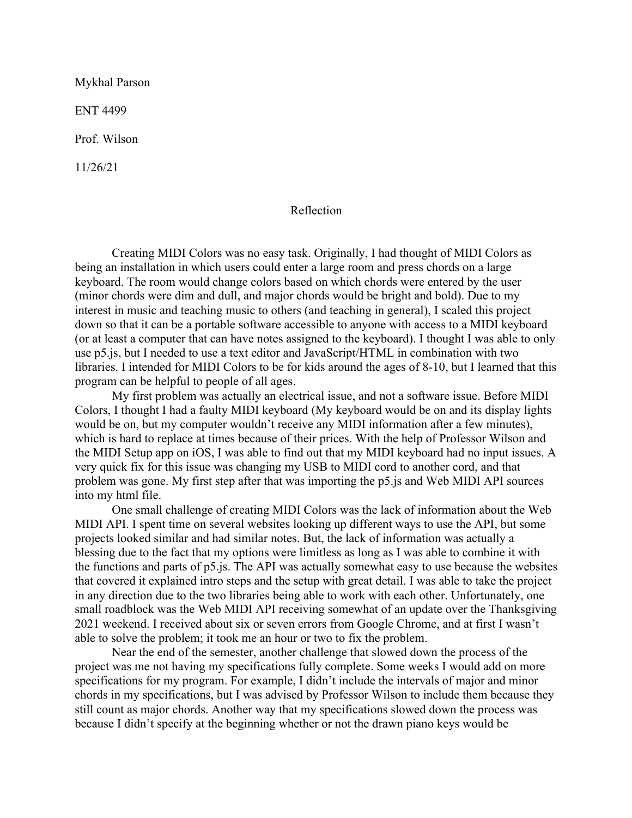Mykhal Parson

ENT 4499

Prof. Wilson

11/26/21

## Reflection

Creating MIDI Colors was no easy task. Originally, I had thought of MIDI Colors as being an installation in which users could enter a large room and press chords on a large keyboard. The room would change colors based on which chords were entered by the user (minor chords were dim and dull, and major chords would be bright and bold). Due to my interest in music and teaching music to others (and teaching in general), I scaled this project down so that it can be a portable software accessible to anyone with access to a MIDI keyboard (or at least a computer that can have notes assigned to the keyboard). I thought I was able to only use p5.js, but I needed to use a text editor and JavaScript/HTML in combination with two libraries. I intended for MIDI Colors to be for kids around the ages of 8-10, but I learned that this program can be helpful to people of all ages.

My first problem was actually an electrical issue, and not a software issue. Before MIDI Colors, I thought I had a faulty MIDI keyboard (My keyboard would be on and its display lights would be on, but my computer wouldn't receive any MIDI information after a few minutes), which is hard to replace at times because of their prices. With the help of Professor Wilson and the MIDI Setup app on iOS, I was able to find out that my MIDI keyboard had no input issues. A very quick fix for this issue was changing my USB to MIDI cord to another cord, and that problem was gone. My first step after that was importing the p5.js and Web MIDI API sources into my html file.

One small challenge of creating MIDI Colors was the lack of information about the Web MIDI API. I spent time on several websites looking up different ways to use the API, but some projects looked similar and had similar notes. But, the lack of information was actually a blessing due to the fact that my options were limitless as long as I was able to combine it with the functions and parts of p5.js. The API was actually somewhat easy to use because the websites that covered it explained intro steps and the setup with great detail. I was able to take the project in any direction due to the two libraries being able to work with each other. Unfortunately, one small roadblock was the Web MIDI API receiving somewhat of an update over the Thanksgiving 2021 weekend. I received about six or seven errors from Google Chrome, and at first I wasn't able to solve the problem; it took me an hour or two to fix the problem.

Near the end of the semester, another challenge that slowed down the process of the project was me not having my specifications fully complete. Some weeks I would add on more specifications for my program. For example, I didn't include the intervals of major and minor chords in my specifications, but I was advised by Professor Wilson to include them because they still count as major chords. Another way that my specifications slowed down the process was because I didn't specify at the beginning whether or not the drawn piano keys would be